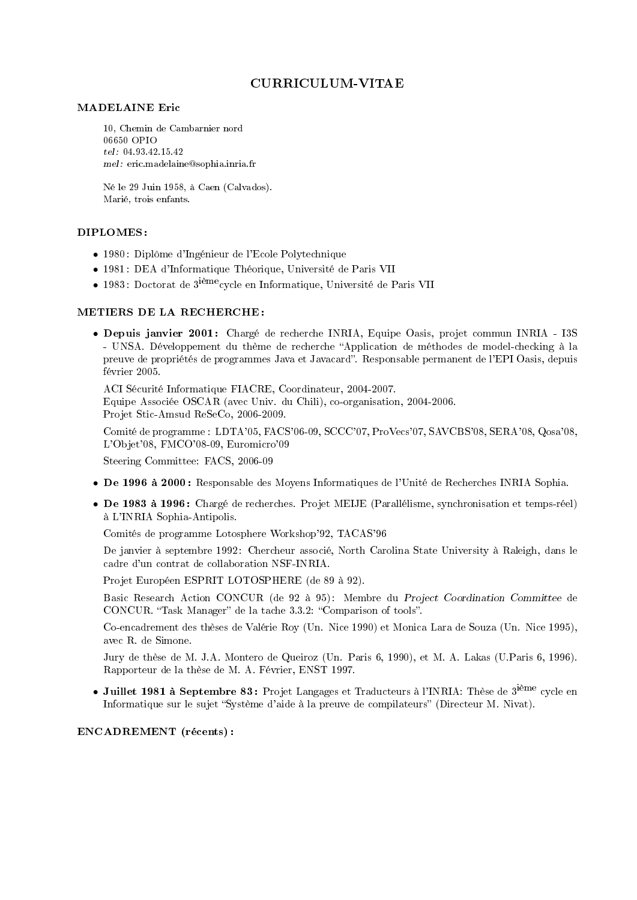# CURRICULUM-VITAE

#### MADELAINE Eric

10, Chemin de Cambarnier nord 06650 OPIO tel : 04.93.42.15.42 mel : eric.madelaine@sophia.inria.fr

Né le 29 Juin 1958, à Caen (Calvados). Marié, trois enfants.

## DIPLOMES :

- 1980 : Diplôme d'Ingénieur de l'Ecole Polytechnique
- 1981 : DEA d'Informatique Théorique, Université de Paris VII
- 1983 : Doctorat de 3ièmecycle en Informatique, Université de Paris VII

#### METIERS DE LA RECHERCHE :

• Depuis janvier 2001 : Chargé de recherche INRIA, Equipe Oasis, projet commun INRIA - I3S - UNSA. Développement du thème de recherche "Application de méthodes de model-checking à la preuve de propriétés de programmes Java et Javacard. Responsable permanent de l'EPI Oasis, depuis février 2005.

ACI Sécurité Informatique FIACRE, Coordinateur, 2004-2007. Equipe Associée OSCAR (avec Univ. du Chili), co-organisation, 2004-2006. Projet Stic-Amsud ReSeCo, 2006-2009.

Comité de programme : LDTA'05, FACS'06-09, SCCC'07, ProVecs'07, SAVCBS'08, SERA'08, Qosa'08, L'Objet'08, FMCO'08-09, Euromicro'09

Steering Committee: FACS, 2006-09

- De 1996 à 2000 : Responsable des Moyens Informatiques de l'Unité de Recherches INRIA Sophia.
- De 1983 à 1996 : Chargé de recherches. Projet MEIJE (Parallélisme, synchronisation et temps-réel) à L'INRIA Sophia-Antipolis.

Comités de programme Lotosphere Workshop'92, TACAS'96

De janvier à septembre 1992 : Chercheur associé, North Carolina State University à Raleigh, dans le cadre d'un contrat de collaboration NSF-INRIA.

Projet Européen ESPRIT LOTOSPHERE (de 89 à 92).

Basic Research Action CONCUR (de 92 à 95) : Membre du Project Coordination Committee de CONCUR. "Task Manager" de la tache 3.3.2: "Comparison of tools".

Co-encadrement des thèses de Valérie Roy (Un. Nice 1990) et Monica Lara de Souza (Un. Nice 1995), avec R. de Simone.

Jury de thèse de M. J.A. Montero de Queiroz (Un. Paris 6, 1990), et M. A. Lakas (U.Paris 6, 1996). Rapporteur de la thèse de M. A. Février, ENST 1997.

• Juillet 1981 à Septembre 83: Projet Langages et Traducteurs à l'INRIA: Thèse de 3<sup>ième</sup> cycle en Informatique sur le sujet "Système d'aide à la preuve de compilateurs" (Directeur M. Nivat).

ENCADREMENT (récents) :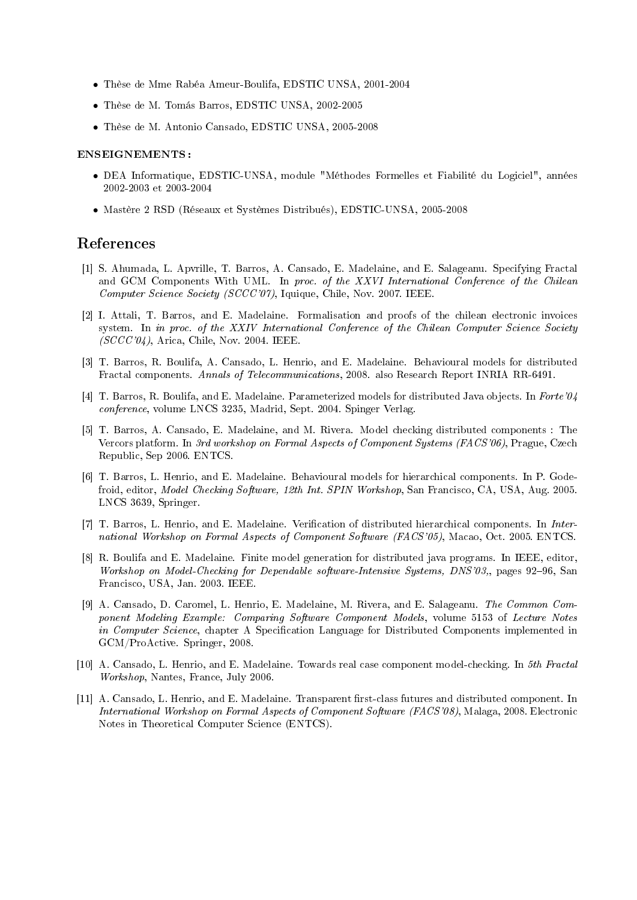- Thèse de Mme Rabéa Ameur-Boulifa, EDSTIC UNSA, 2001-2004
- Thèse de M. Tomás Barros, EDSTIC UNSA, 2002-2005
- Thèse de M. Antonio Cansado, EDSTIC UNSA, 2005-2008

#### ENSEIGNEMENTS :

- DEA Informatique, EDSTIC-UNSA, module "Méthodes Formelles et Fiabilité du Logiciel", années 2002-2003 et 2003-2004
- Mastère 2 RSD (Réseaux et Systèmes Distribués), EDSTIC-UNSA, 2005-2008

## References

- [1] S. Ahumada, L. Apvrille, T. Barros, A. Cansado, E. Madelaine, and E. Salageanu. Specifying Fractal and GCM Components With UML. In proc. of the XXVI International Conference of the Chilean Computer Science Society (SCCC'07), Iquique, Chile, Nov. 2007. IEEE.
- [2] I. Attali, T. Barros, and E. Madelaine. Formalisation and proofs of the chilean electronic invoices system. In in proc. of the XXIV International Conference of the Chilean Computer Science Society  $(SCCC'04)$ , Arica, Chile, Nov. 2004. IEEE.
- [3] T. Barros, R. Boulifa, A. Cansado, L. Henrio, and E. Madelaine. Behavioural models for distributed Fractal components. Annals of Telecommunications, 2008. also Research Report INRIA RR-6491.
- [4] T. Barros, R. Boulifa, and E. Madelaine. Parameterized models for distributed Java objects. In Forte'04 conference, volume LNCS 3235, Madrid, Sept. 2004. Spinger Verlag.
- [5] T. Barros, A. Cansado, E. Madelaine, and M. Rivera. Model checking distributed components : The Vercors platform. In 3rd workshop on Formal Aspects of Component Systems (FACS'06), Prague, Czech Republic, Sep 2006. ENTCS.
- [6] T. Barros, L. Henrio, and E. Madelaine. Behavioural models for hierarchical components. In P. Godefroid, editor, Model Checking Software, 12th Int. SPIN Workshop, San Francisco, CA, USA, Aug. 2005. LNCS 3639, Springer.
- [7] T. Barros, L. Henrio, and E. Madelaine. Verification of distributed hierarchical components. In International Workshop on Formal Aspects of Component Software (FACS'05), Macao, Oct. 2005. ENTCS.
- [8] R. Boulifa and E. Madelaine. Finite model generation for distributed java programs. In IEEE, editor, Workshop on Model-Checking for Dependable software-Intensive Systems, DNS'03, pages 92–96, San Francisco, USA, Jan. 2003. IEEE.
- [9] A. Cansado, D. Caromel, L. Henrio, E. Madelaine, M. Rivera, and E. Salageanu. The Common Component Modeling Example: Comparing Software Component Models, volume 5153 of Lecture Notes in Computer Science, chapter A Specification Language for Distributed Components implemented in GCM/ProActive. Springer, 2008.
- [10] A. Cansado, L. Henrio, and E. Madelaine. Towards real case component model-checking. In 5th Fractal Workshop, Nantes, France, July 2006.
- [11] A. Cansado, L. Henrio, and E. Madelaine. Transparent first-class futures and distributed component. In International Workshop on Formal Aspects of Component Software (FACS'08), Malaga, 2008. Electronic Notes in Theoretical Computer Science (ENTCS).